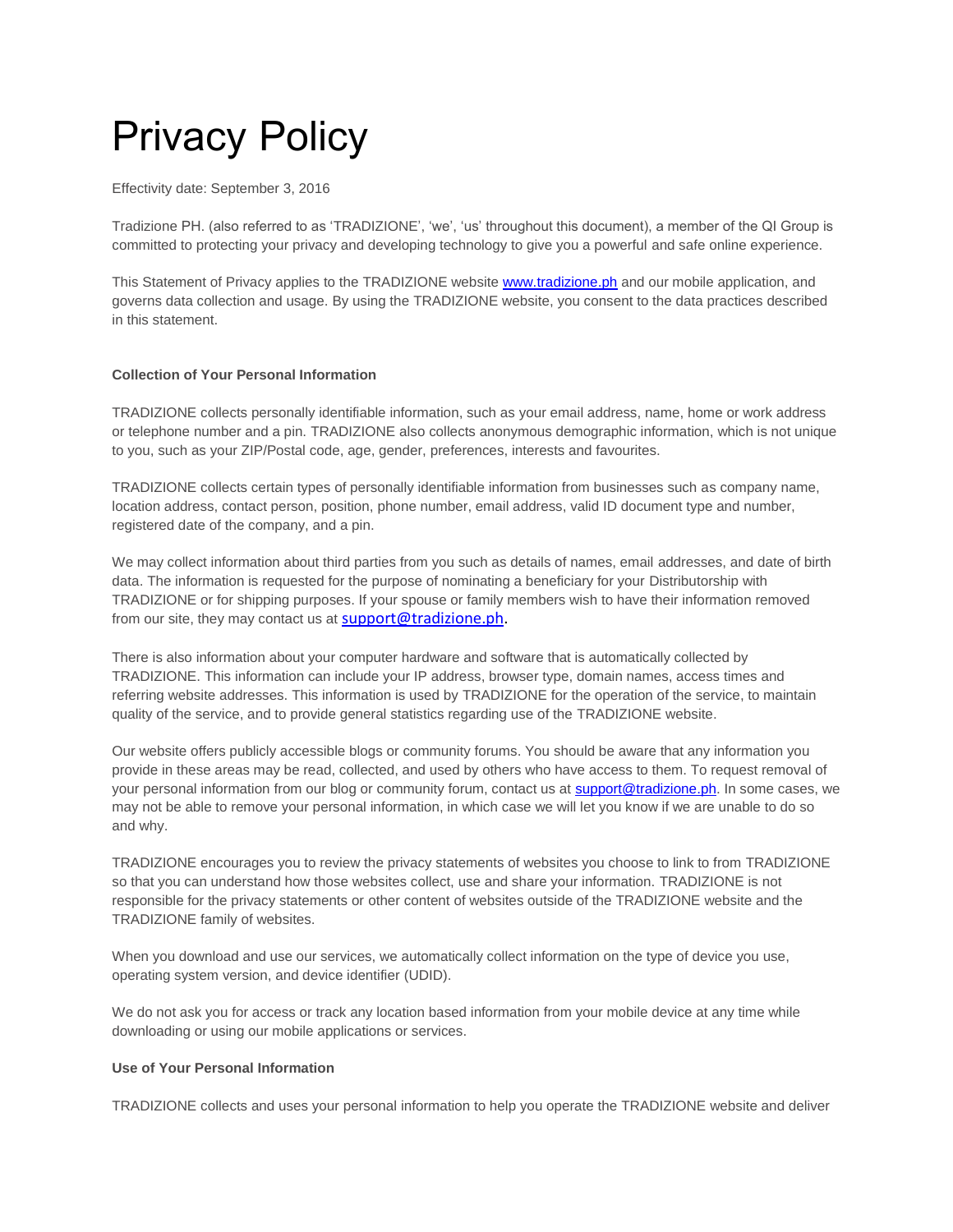# Privacy Policy

Effectivity date: September 3, 2016

Tradizione PH. (also referred to as 'TRADIZIONE', 'we', 'us' throughout this document), a member of the QI Group is committed to protecting your privacy and developing technology to give you a powerful and safe online experience.

This Statement of Privacy applies to the TRADIZIONE website **[www.tradizione.ph](http://www.qnet.net.ph/)** and our mobile application, and governs data collection and usage. By using the TRADIZIONE website, you consent to the data practices described in this statement.

## **Collection of Your Personal Information**

TRADIZIONE collects personally identifiable information, such as your email address, name, home or work address or telephone number and a pin. TRADIZIONE also collects anonymous demographic information, which is not unique to you, such as your ZIP/Postal code, age, gender, preferences, interests and favourites.

TRADIZIONE collects certain types of personally identifiable information from businesses such as company name, location address, contact person, position, phone number, email address, valid ID document type and number, registered date of the company, and a pin.

We may collect information about third parties from you such as details of names, email addresses, and date of birth data. The information is requested for the purpose of nominating a beneficiary for your Distributorship with TRADIZIONE or for shipping purposes. If your spouse or family members wish to have their information removed from our site, they may contact us at **[support@tradizione.ph.](mailto:support@tradizione.ph)** 

There is also information about your computer hardware and software that is automatically collected by TRADIZIONE. This information can include your IP address, browser type, domain names, access times and referring website addresses. This information is used by TRADIZIONE for the operation of the service, to maintain quality of the service, and to provide general statistics regarding use of the TRADIZIONE website.

Our website offers publicly accessible blogs or community forums. You should be aware that any information you provide in these areas may be read, collected, and used by others who have access to them. To request removal of your personal information from our blog or community forum, contact us at [support@tradizione.](mailto:support@tradizione)ph. In some cases, we may not be able to remove your personal information, in which case we will let you know if we are unable to do so and why.

TRADIZIONE encourages you to review the privacy statements of websites you choose to link to from TRADIZIONE so that you can understand how those websites collect, use and share your information. TRADIZIONE is not responsible for the privacy statements or other content of websites outside of the TRADIZIONE website and the TRADIZIONE family of websites.

When you download and use our services, we automatically collect information on the type of device you use, operating system version, and device identifier (UDID).

We do not ask you for access or track any location based information from your mobile device at any time while downloading or using our mobile applications or services.

## **Use of Your Personal Information**

TRADIZIONE collects and uses your personal information to help you operate the TRADIZIONE website and deliver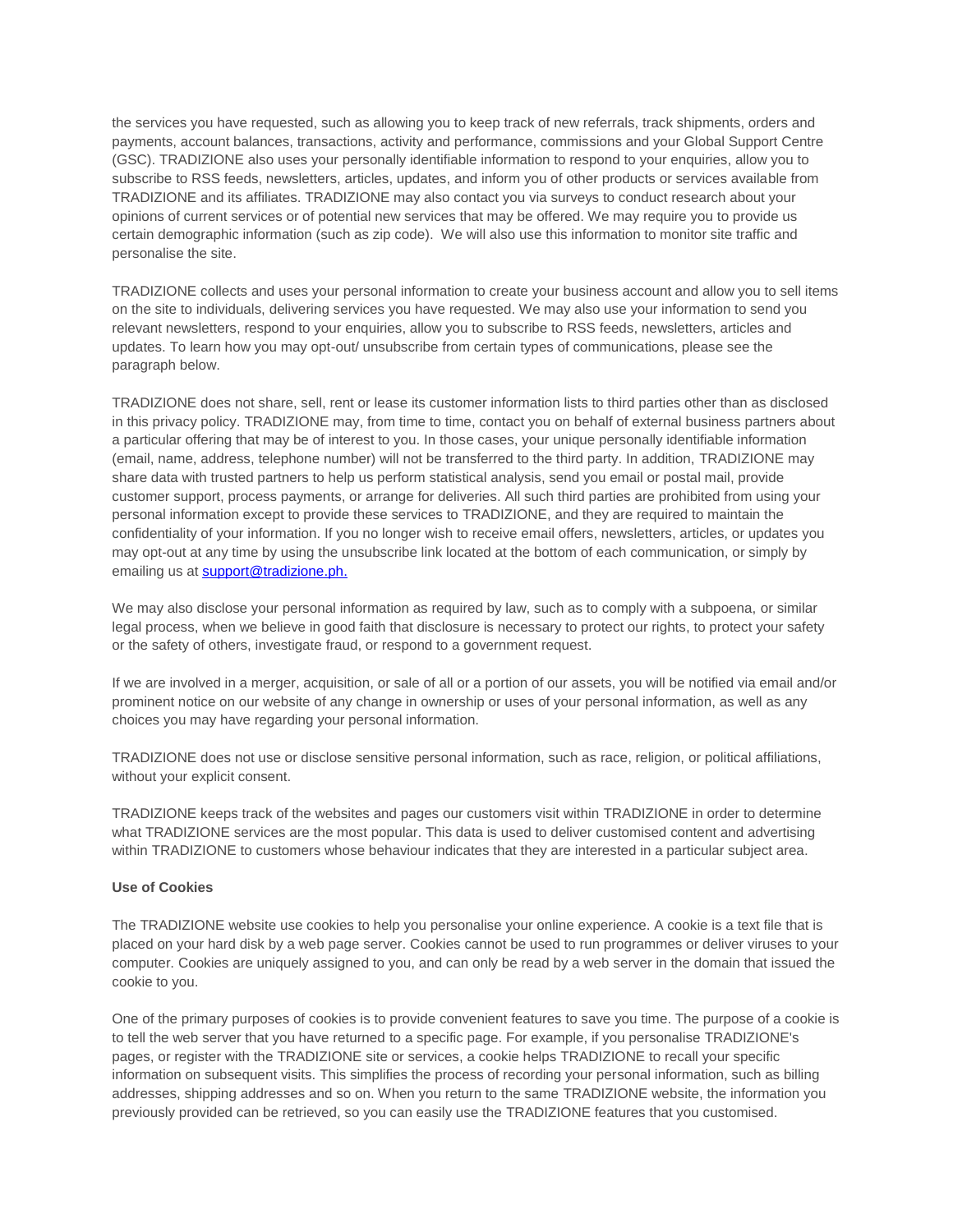the services you have requested, such as allowing you to keep track of new referrals, track shipments, orders and payments, account balances, transactions, activity and performance, commissions and your Global Support Centre (GSC). TRADIZIONE also uses your personally identifiable information to respond to your enquiries, allow you to subscribe to RSS feeds, newsletters, articles, updates, and inform you of other products or services available from TRADIZIONE and its affiliates. TRADIZIONE may also contact you via surveys to conduct research about your opinions of current services or of potential new services that may be offered. We may require you to provide us certain demographic information (such as zip code). We will also use this information to monitor site traffic and personalise the site.

TRADIZIONE collects and uses your personal information to create your business account and allow you to sell items on the site to individuals, delivering services you have requested. We may also use your information to send you relevant newsletters, respond to your enquiries, allow you to subscribe to RSS feeds, newsletters, articles and updates. To learn how you may opt-out/ unsubscribe from certain types of communications, please see the paragraph below.

TRADIZIONE does not share, sell, rent or lease its customer information lists to third parties other than as disclosed in this privacy policy. TRADIZIONE may, from time to time, contact you on behalf of external business partners about a particular offering that may be of interest to you. In those cases, your unique personally identifiable information (email, name, address, telephone number) will not be transferred to the third party. In addition, TRADIZIONE may share data with trusted partners to help us perform statistical analysis, send you email or postal mail, provide customer support, process payments, or arrange for deliveries. All such third parties are prohibited from using your personal information except to provide these services to TRADIZIONE, and they are required to maintain the confidentiality of your information. If you no longer wish to receive email offers, newsletters, articles, or updates you may opt-out at any time by using the unsubscribe link located at the bottom of each communication, or simply by emailing us at **[support@tradizione.](mailto:support@tradizione)ph.** 

We may also disclose your personal information as required by law, such as to comply with a subpoena, or similar legal process, when we believe in good faith that disclosure is necessary to protect our rights, to protect your safety or the safety of others, investigate fraud, or respond to a government request.

If we are involved in a merger, acquisition, or sale of all or a portion of our assets, you will be notified via email and/or prominent notice on our website of any change in ownership or uses of your personal information, as well as any choices you may have regarding your personal information.

TRADIZIONE does not use or disclose sensitive personal information, such as race, religion, or political affiliations, without your explicit consent.

TRADIZIONE keeps track of the websites and pages our customers visit within TRADIZIONE in order to determine what TRADIZIONE services are the most popular. This data is used to deliver customised content and advertising within TRADIZIONE to customers whose behaviour indicates that they are interested in a particular subject area.

#### **Use of Cookies**

The TRADIZIONE website use cookies to help you personalise your online experience. A cookie is a text file that is placed on your hard disk by a web page server. Cookies cannot be used to run programmes or deliver viruses to your computer. Cookies are uniquely assigned to you, and can only be read by a web server in the domain that issued the cookie to you.

One of the primary purposes of cookies is to provide convenient features to save you time. The purpose of a cookie is to tell the web server that you have returned to a specific page. For example, if you personalise TRADIZIONE's pages, or register with the TRADIZIONE site or services, a cookie helps TRADIZIONE to recall your specific information on subsequent visits. This simplifies the process of recording your personal information, such as billing addresses, shipping addresses and so on. When you return to the same TRADIZIONE website, the information you previously provided can be retrieved, so you can easily use the TRADIZIONE features that you customised.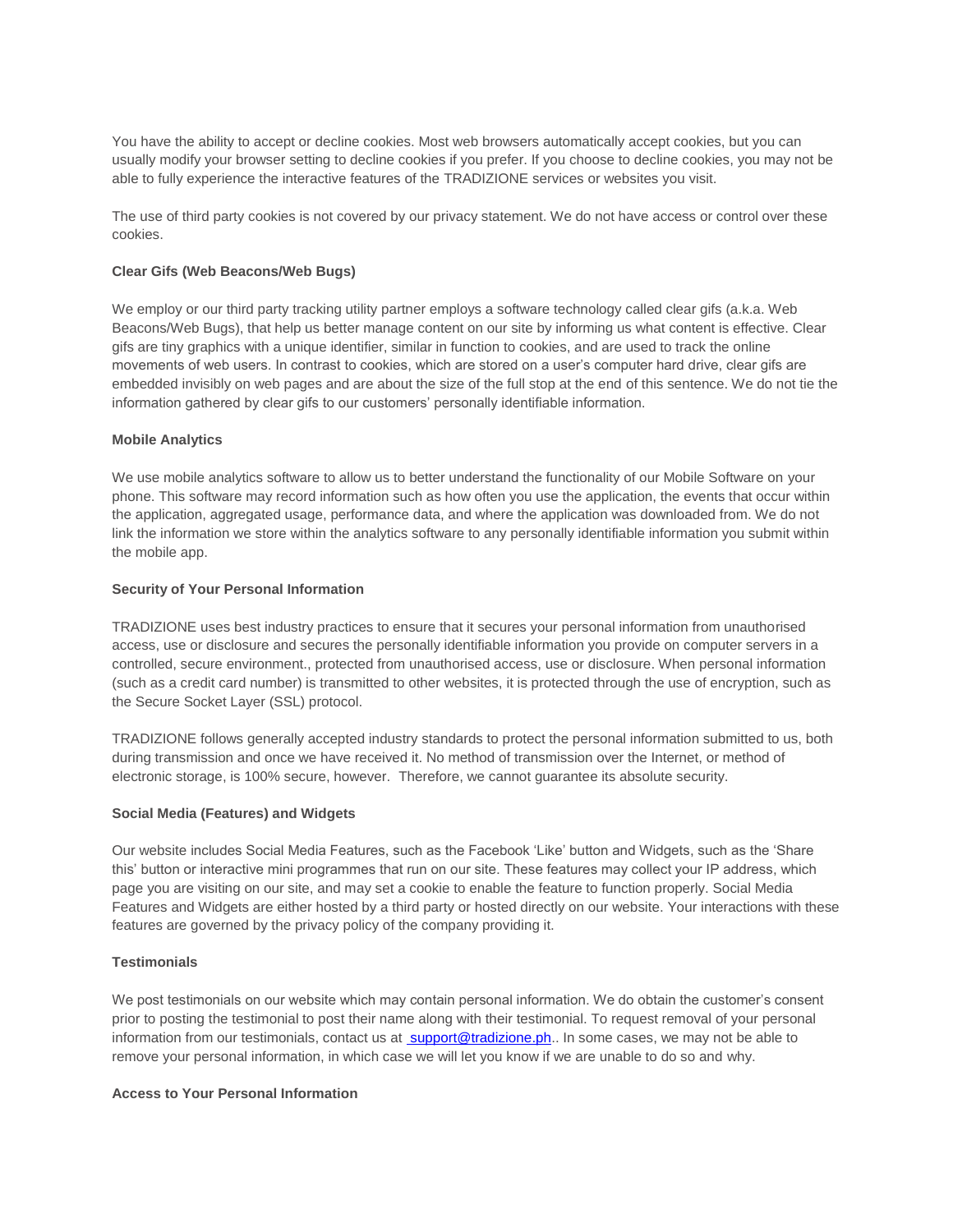You have the ability to accept or decline cookies. Most web browsers automatically accept cookies, but you can usually modify your browser setting to decline cookies if you prefer. If you choose to decline cookies, you may not be able to fully experience the interactive features of the TRADIZIONE services or websites you visit.

The use of third party cookies is not covered by our privacy statement. We do not have access or control over these cookies.

#### **Clear Gifs (Web Beacons/Web Bugs)**

We employ or our third party tracking utility partner employs a software technology called clear gifs (a.k.a. Web Beacons/Web Bugs), that help us better manage content on our site by informing us what content is effective. Clear gifs are tiny graphics with a unique identifier, similar in function to cookies, and are used to track the online movements of web users. In contrast to cookies, which are stored on a user's computer hard drive, clear gifs are embedded invisibly on web pages and are about the size of the full stop at the end of this sentence. We do not tie the information gathered by clear gifs to our customers' personally identifiable information.

#### **Mobile Analytics**

We use mobile analytics software to allow us to better understand the functionality of our Mobile Software on your phone. This software may record information such as how often you use the application, the events that occur within the application, aggregated usage, performance data, and where the application was downloaded from. We do not link the information we store within the analytics software to any personally identifiable information you submit within the mobile app.

# **Security of Your Personal Information**

TRADIZIONE uses best industry practices to ensure that it secures your personal information from unauthorised access, use or disclosure and secures the personally identifiable information you provide on computer servers in a controlled, secure environment., protected from unauthorised access, use or disclosure. When personal information (such as a credit card number) is transmitted to other websites, it is protected through the use of encryption, such as the Secure Socket Layer (SSL) protocol.

TRADIZIONE follows generally accepted industry standards to protect the personal information submitted to us, both during transmission and once we have received it. No method of transmission over the Internet, or method of electronic storage, is 100% secure, however. Therefore, we cannot guarantee its absolute security.

#### **Social Media (Features) and Widgets**

Our website includes Social Media Features, such as the Facebook 'Like' button and Widgets, such as the 'Share this' button or interactive mini programmes that run on our site. These features may collect your IP address, which page you are visiting on our site, and may set a cookie to enable the feature to function properly. Social Media Features and Widgets are either hosted by a third party or hosted directly on our website. Your interactions with these features are governed by the privacy policy of the company providing it.

#### **Testimonials**

We post testimonials on our website which may contain personal information. We do obtain the customer's consent prior to posting the testimonial to post their name along with their testimonial. To request removal of your personal information from our testimonials, contact us at [support@tradizione.](mailto:support@tradizione)ph.. In some cases, we may not be able to remove your personal information, in which case we will let you know if we are unable to do so and why.

#### **Access to Your Personal Information**